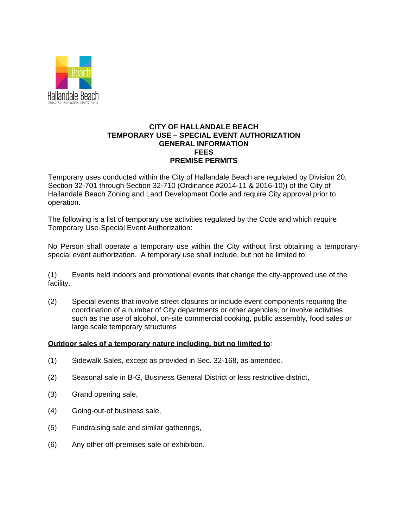

## **CITY OF HALLANDALE BEACH TEMPORARY USE – SPECIAL EVENT AUTHORIZATION GENERAL INFORMATION FEES PREMISE PERMITS**

Temporary uses conducted within the City of Hallandale Beach are regulated by Division 20, Section 32-701 through Section 32-710 (Ordinance #2014-11 & 2016-10)) of the City of Hallandale Beach Zoning and Land Development Code and require City approval prior to operation.

The following is a list of temporary use activities regulated by the Code and which require Temporary Use-Special Event Authorization:

No Person shall operate a temporary use within the City without first obtaining a temporaryspecial event authorization. A temporary use shall include, but not be limited to:

(1) Events held indoors and promotional events that change the city-approved use of the facility.

(2) Special events that involve street closures or include event components requiring the coordination of a number of City departments or other agencies, or involve activities such as the use of alcohol, on-site commercial cooking, public assembly, food sales or large scale temporary structures

#### **Outdoor sales of a temporary nature including, but no limited to**:

- (1) Sidewalk Sales, except as provided in Sec. 32-168, as amended,
- (2) Seasonal sale in B-G, Business General District or less restrictive district,
- (3) Grand opening sale,
- (4) Going-out-of business sale,
- (5) Fundraising sale and similar gatherings,
- (6) Any other off-premises sale or exhibition.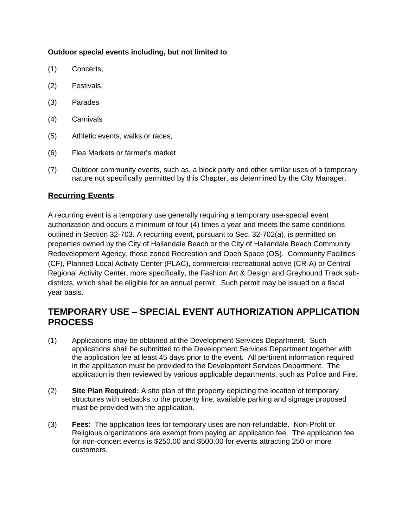## **Outdoor special events including, but not limited to**:

- (1) Concerts,
- (2) Festivals,
- (3) Parades
- (4) Carnivals
- (5) Athletic events, walks or races,
- (6) Flea Markets or farmer's market
- (7) Outdoor community events, such as, a block party and other similar uses of a temporary nature not specifically permitted by this Chapter, as determined by the City Manager.

## **Recurring Events**

A recurring event is a temporary use generally requiring a temporary use-special event authorization and occurs a minimum of four (4) times a year and meets the same conditions outlined in Section 32-703. A recurring event, pursuant to Sec. 32-702(a), is permitted on properties owned by the City of Hallandale Beach or the City of Hallandale Beach Community Redevelopment Agency, those zoned Recreation and Open Space (OS). Community Facilities (CF), Planned Local Activity Center (PLAC), commercial recreational active (CR-A) or Central Regional Activity Center, more specifically, the Fashion Art & Design and Greyhound Track subdistricts, which shall be eligible for an annual permit. Such permit may be issued on a fiscal year basis.

# **TEMPORARY USE – SPECIAL EVENT AUTHORIZATION APPLICATION PROCESS**

- (1) Applications may be obtained at the Development Services Department. Such applications shall be submitted to the Development Services Department together with the application fee at least 45 days prior to the event. All pertinent information required in the application must be provided to the Development Services Department. The application is then reviewed by various applicable departments, such as Police and Fire.
- (2) **Site Plan Required:** A site plan of the property depicting the location of temporary structures with setbacks to the property line, available parking and signage proposed must be provided with the application.
- (3) **Fees**: The application fees for temporary uses are non-refundable. Non-Profit or Religious organizations are exempt from paying an application fee. The application fee for non-concert events is \$250.00 and \$500.00 for events attracting 250 or more customers.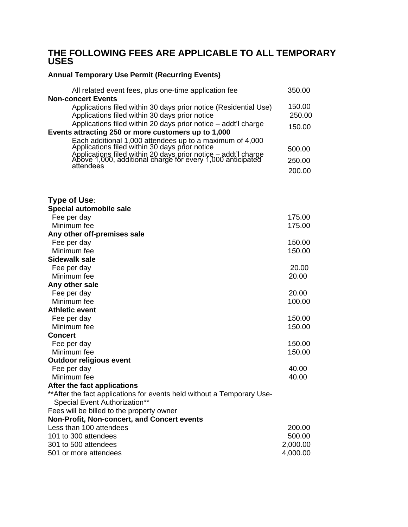## **THE FOLLOWING FEES ARE APPLICABLE TO ALL TEMPORARY USES**

# **Annual Temporary Use Permit (Recurring Events)**

| All related event fees, plus one-time application fee                                                                        | 350.00           |
|------------------------------------------------------------------------------------------------------------------------------|------------------|
| <b>Non-concert Events</b>                                                                                                    |                  |
| Applications filed within 30 days prior notice (Residential Use)                                                             | 150.00           |
| Applications filed within 30 days prior notice                                                                               | 250.00           |
| Applications filed within 20 days prior notice - addt'l charge                                                               | 150.00           |
| Events attracting 250 or more customers up to 1,000                                                                          |                  |
| Each additional 1,000 attendees up to a maximum of 4,000<br>Applications filed within 30 days prior notice                   |                  |
|                                                                                                                              | 500.00           |
| Applications filed within 20 days prior notice - addt'l charge<br>Above 1,000, additional charge for every 1,000 anticipated | 250.00           |
| attendees                                                                                                                    | 200.00           |
|                                                                                                                              |                  |
|                                                                                                                              |                  |
| <b>Type of Use:</b>                                                                                                          |                  |
| Special automobile sale                                                                                                      |                  |
| Fee per day                                                                                                                  | 175.00           |
| Minimum fee                                                                                                                  | 175.00           |
| Any other off-premises sale                                                                                                  |                  |
| Fee per day                                                                                                                  | 150.00           |
| Minimum fee                                                                                                                  | 150.00           |
| <b>Sidewalk sale</b>                                                                                                         |                  |
| Fee per day                                                                                                                  | 20.00            |
| Minimum fee                                                                                                                  | 20.00            |
| Any other sale                                                                                                               |                  |
| Fee per day                                                                                                                  | 20.00            |
| Minimum fee                                                                                                                  | 100.00           |
| <b>Athletic event</b>                                                                                                        |                  |
| Fee per day                                                                                                                  | 150.00           |
| Minimum fee                                                                                                                  | 150.00           |
| <b>Concert</b>                                                                                                               |                  |
| Fee per day<br>Minimum fee                                                                                                   | 150.00<br>150.00 |
| <b>Outdoor religious event</b>                                                                                               |                  |
| Fee per day                                                                                                                  | 40.00            |
| Minimum fee                                                                                                                  | 40.00            |
| After the fact applications                                                                                                  |                  |
| ** After the fact applications for events held without a Temporary Use-                                                      |                  |
| Special Event Authorization**                                                                                                |                  |
| Fees will be billed to the property owner                                                                                    |                  |
| Non-Profit, Non-concert, and Concert events                                                                                  |                  |
| Less than 100 attendees                                                                                                      | 200.00           |
| 101 to 300 attendees                                                                                                         | 500.00           |
| 301 to 500 attendees                                                                                                         | 2,000.00         |
| 501 or more attendees                                                                                                        | 4,000.00         |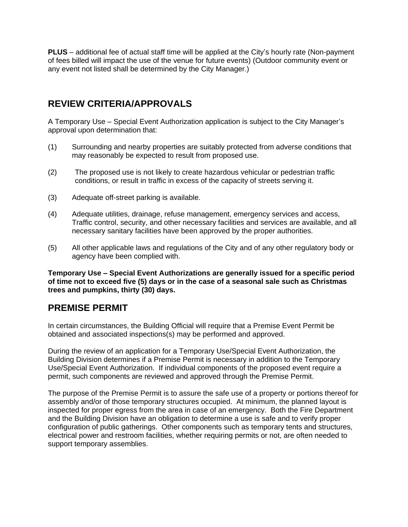**PLUS** – additional fee of actual staff time will be applied at the City's hourly rate (Non-payment of fees billed will impact the use of the venue for future events) (Outdoor community event or any event not listed shall be determined by the City Manager.)

# **REVIEW CRITERIA/APPROVALS**

A Temporary Use – Special Event Authorization application is subject to the City Manager's approval upon determination that:

- (1) Surrounding and nearby properties are suitably protected from adverse conditions that may reasonably be expected to result from proposed use.
- (2) The proposed use is not likely to create hazardous vehicular or pedestrian traffic conditions, or result in traffic in excess of the capacity of streets serving it.
- (3) Adequate off-street parking is available.
- (4) Adequate utilities, drainage, refuse management, emergency services and access, Traffic control, security, and other necessary facilities and services are available, and all necessary sanitary facilities have been approved by the proper authorities.
- (5) All other applicable laws and regulations of the City and of any other regulatory body or agency have been complied with.

**Temporary Use – Special Event Authorizations are generally issued for a specific period of time not to exceed five (5) days or in the case of a seasonal sale such as Christmas trees and pumpkins, thirty (30) days.**

# **PREMISE PERMIT**

In certain circumstances, the Building Official will require that a Premise Event Permit be obtained and associated inspections(s) may be performed and approved.

During the review of an application for a Temporary Use/Special Event Authorization, the Building Division determines if a Premise Permit is necessary in addition to the Temporary Use/Special Event Authorization. If individual components of the proposed event require a permit, such components are reviewed and approved through the Premise Permit.

The purpose of the Premise Permit is to assure the safe use of a property or portions thereof for assembly and/or of those temporary structures occupied. At minimum, the planned layout is inspected for proper egress from the area in case of an emergency. Both the Fire Department and the Building Division have an obligation to determine a use is safe and to verify proper configuration of public gatherings. Other components such as temporary tents and structures, electrical power and restroom facilities, whether requiring permits or not, are often needed to support temporary assemblies.